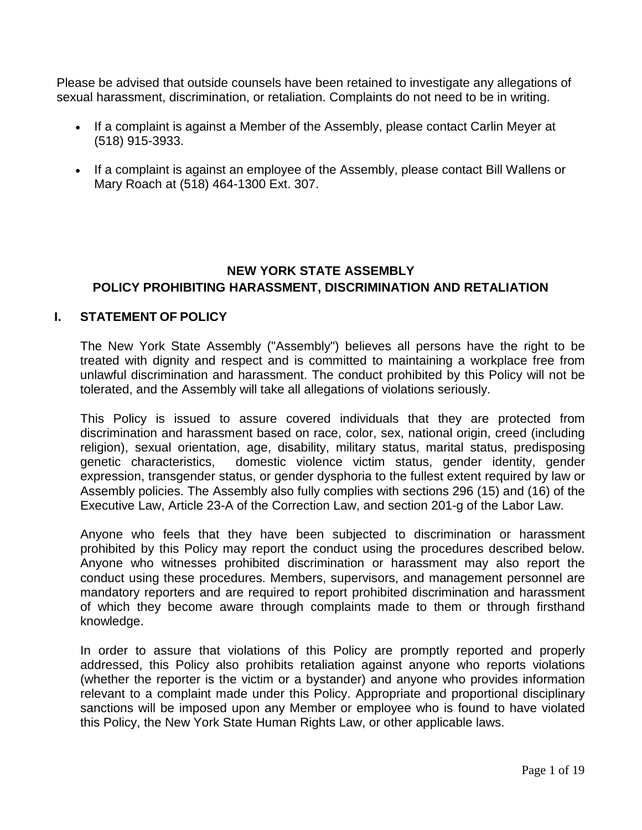Please be advised that outside counsels have been retained to investigate any allegations of sexual harassment, discrimination, or retaliation. Complaints do not need to be in writing.

- If a complaint is against a Member of the Assembly, please contact Carlin Meyer at (518) 915-3933.
- If a complaint is against an employee of the Assembly, please contact Bill Wallens or Mary Roach at (518) 464-1300 Ext. 307.

# **NEW YORK STATE ASSEMBLY POLICY PROHIBITING HARASSMENT, DISCRIMINATION AND RETALIATION**

## **I. STATEMENT OF POLICY**

The New York State Assembly ("Assembly") believes all persons have the right to be treated with dignity and respect and is committed to maintaining a workplace free from unlawful discrimination and harassment. The conduct prohibited by this Policy will not be tolerated, and the Assembly will take all allegations of violations seriously.

This Policy is issued to assure covered individuals that they are protected from discrimination and harassment based on race, color, sex, national origin, creed (including religion), sexual orientation, age, disability, military status, marital status, predisposing<br>
denetic characteristics, domestic violence victim status, gender identity, gender domestic violence victim status, gender identity, gender expression, transgender status, or gender dysphoria to the fullest extent required by law or Assembly policies. The Assembly also fully complies with sections 296 (15) and (16) of the Executive Law, Article 23-A of the Correction Law, and section 201-g of the Labor Law.

Anyone who feels that they have been subjected to discrimination or harassment prohibited by this Policy may report the conduct using the procedures described below. Anyone who witnesses prohibited discrimination or harassment may also report the conduct using these procedures. Members, supervisors, and management personnel are mandatory reporters and are required to report prohibited discrimination and harassment of which they become aware through complaints made to them or through firsthand knowledge.

In order to assure that violations of this Policy are promptly reported and properly addressed, this Policy also prohibits retaliation against anyone who reports violations (whether the reporter is the victim or a bystander) and anyone who provides information relevant to a complaint made under this Policy. Appropriate and proportional disciplinary sanctions will be imposed upon any Member or employee who is found to have violated this Policy, the New York State Human Rights Law, or other applicable laws.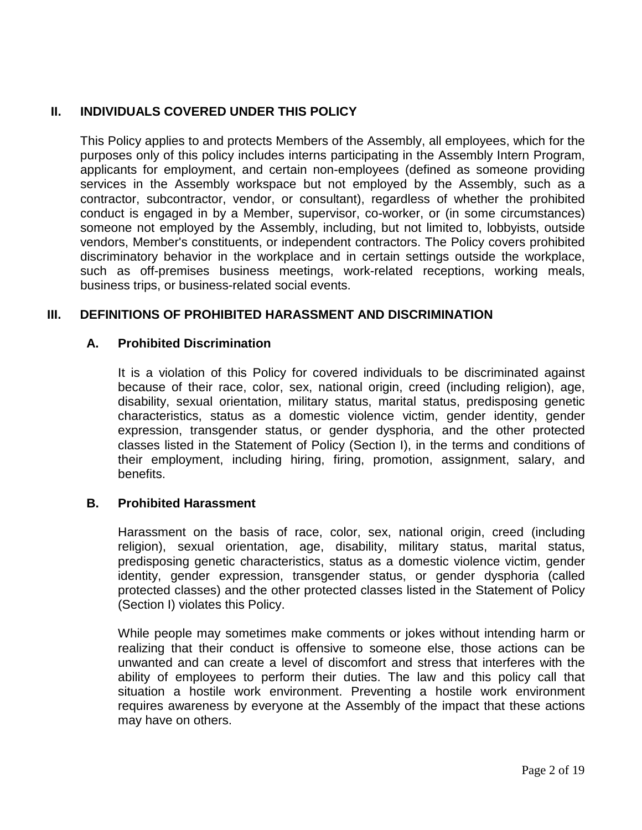# **II. INDIVIDUALS COVERED UNDER THIS POLICY**

This Policy applies to and protects Members of the Assembly, all employees, which for the purposes only of this policy includes interns participating in the Assembly Intern Program, applicants for employment, and certain non-employees (defined as someone providing services in the Assembly workspace but not employed by the Assembly, such as a contractor, subcontractor, vendor, or consultant), regardless of whether the prohibited conduct is engaged in by a Member, supervisor, co-worker, or (in some circumstances) someone not employed by the Assembly, including, but not limited to, lobbyists, outside vendors, Member's constituents, or independent contractors. The Policy covers prohibited discriminatory behavior in the workplace and in certain settings outside the workplace, such as off-premises business meetings, work-related receptions, working meals, business trips, or business-related social events.

## **III. DEFINITIONS OF PROHIBITED HARASSMENT AND DISCRIMINATION**

#### **A. Prohibited Discrimination**

It is a violation of this Policy for covered individuals to be discriminated against because of their race, color, sex, national origin, creed (including religion), age, disability, sexual orientation, military status, marital status, predisposing genetic characteristics, status as a domestic violence victim, gender identity, gender expression, transgender status, or gender dysphoria, and the other protected classes listed in the Statement of Policy (Section I), in the terms and conditions of their employment, including hiring, firing, promotion, assignment, salary, and benefits.

## **B. Prohibited Harassment**

Harassment on the basis of race, color, sex, national origin, creed (including religion), sexual orientation, age, disability, military status, marital status, predisposing genetic characteristics, status as a domestic violence victim, gender identity, gender expression, transgender status, or gender dysphoria (called protected classes) and the other protected classes listed in the Statement of Policy (Section I) violates this Policy.

While people may sometimes make comments or jokes without intending harm or realizing that their conduct is offensive to someone else, those actions can be unwanted and can create a level of discomfort and stress that interferes with the ability of employees to perform their duties. The law and this policy call that situation a hostile work environment. Preventing a hostile work environment requires awareness by everyone at the Assembly of the impact that these actions may have on others.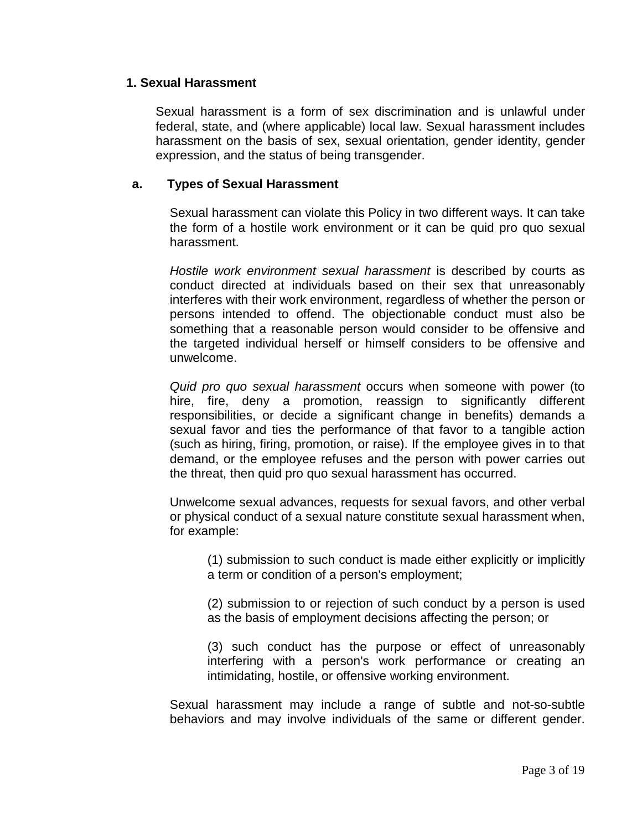#### **1. Sexual Harassment**

Sexual harassment is a form of sex discrimination and is unlawful under federal, state, and (where applicable) local law. Sexual harassment includes harassment on the basis of sex, sexual orientation, gender identity, gender expression, and the status of being transgender.

#### **a. Types of Sexual Harassment**

Sexual harassment can violate this Policy in two different ways. It can take the form of a hostile work environment or it can be quid pro quo sexual harassment.

*Hostile work environment sexual harassment* is described by courts as conduct directed at individuals based on their sex that unreasonably interferes with their work environment, regardless of whether the person or persons intended to offend. The objectionable conduct must also be something that a reasonable person would consider to be offensive and the targeted individual herself or himself considers to be offensive and unwelcome.

*Quid pro quo sexual harassment* occurs when someone with power (to hire, fire, deny a promotion, reassign to significantly different responsibilities, or decide a significant change in benefits) demands a sexual favor and ties the performance of that favor to a tangible action (such as hiring, firing, promotion, or raise). If the employee gives in to that demand, or the employee refuses and the person with power carries out the threat, then quid pro quo sexual harassment has occurred.

Unwelcome sexual advances, requests for sexual favors, and other verbal or physical conduct of a sexual nature constitute sexual harassment when, for example:

(1) submission to such conduct is made either explicitly or implicitly a term or condition of a person's employment;

(2) submission to or rejection of such conduct by a person is used as the basis of employment decisions affecting the person; or

(3) such conduct has the purpose or effect of unreasonably interfering with a person's work performance or creating an intimidating, hostile, or offensive working environment.

Sexual harassment may include a range of subtle and not-so-subtle behaviors and may involve individuals of the same or different gender.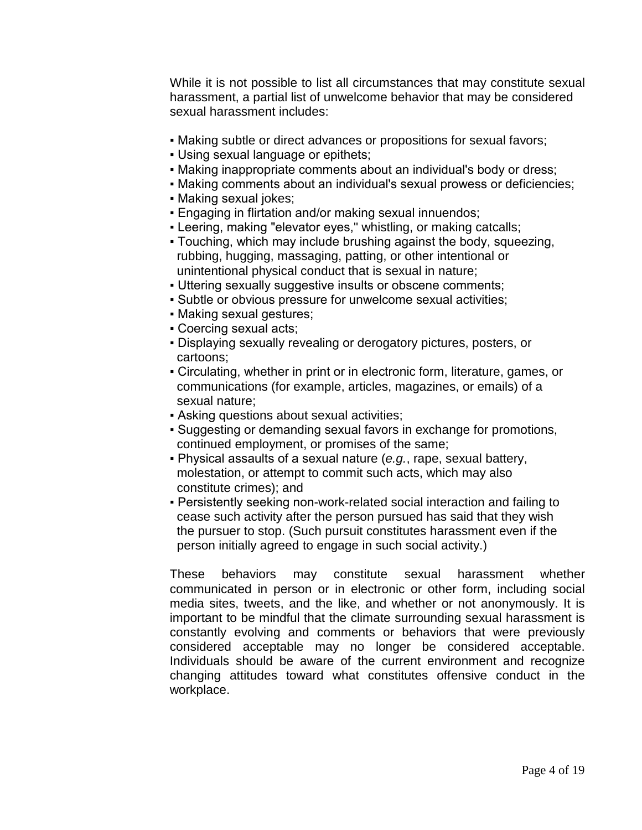While it is not possible to list all circumstances that may constitute sexual harassment, a partial list of unwelcome behavior that may be considered sexual harassment includes:

- Making subtle or direct advances or propositions for sexual favors;
- Using sexual language or epithets;
- Making inappropriate comments about an individual's body or dress;
- Making comments about an individual's sexual prowess or deficiencies;
- Making sexual jokes;
- Engaging in flirtation and/or making sexual innuendos;
- Leering, making "elevator eyes," whistling, or making catcalls;
- Touching, which may include brushing against the body, squeezing, rubbing, hugging, massaging, patting, or other intentional or unintentional physical conduct that is sexual in nature;
- Uttering sexually suggestive insults or obscene comments;
- Subtle or obvious pressure for unwelcome sexual activities;
- Making sexual gestures;
- Coercing sexual acts;
- Displaying sexually revealing or derogatory pictures, posters, or cartoons;
- Circulating, whether in print or in electronic form, literature, games, or communications (for example, articles, magazines, or emails) of a sexual nature;
- **Asking questions about sexual activities;**
- Suggesting or demanding sexual favors in exchange for promotions, continued employment, or promises of the same;
- Physical assaults of a sexual nature (*e.g.*, rape, sexual battery, molestation, or attempt to commit such acts, which may also constitute crimes); and
- Persistently seeking non-work-related social interaction and failing to cease such activity after the person pursued has said that they wish the pursuer to stop. (Such pursuit constitutes harassment even if the person initially agreed to engage in such social activity.)

These behaviors may constitute sexual harassment whether communicated in person or in electronic or other form, including social media sites, tweets, and the like, and whether or not anonymously. It is important to be mindful that the climate surrounding sexual harassment is constantly evolving and comments or behaviors that were previously considered acceptable may no longer be considered acceptable. Individuals should be aware of the current environment and recognize changing attitudes toward what constitutes offensive conduct in the workplace.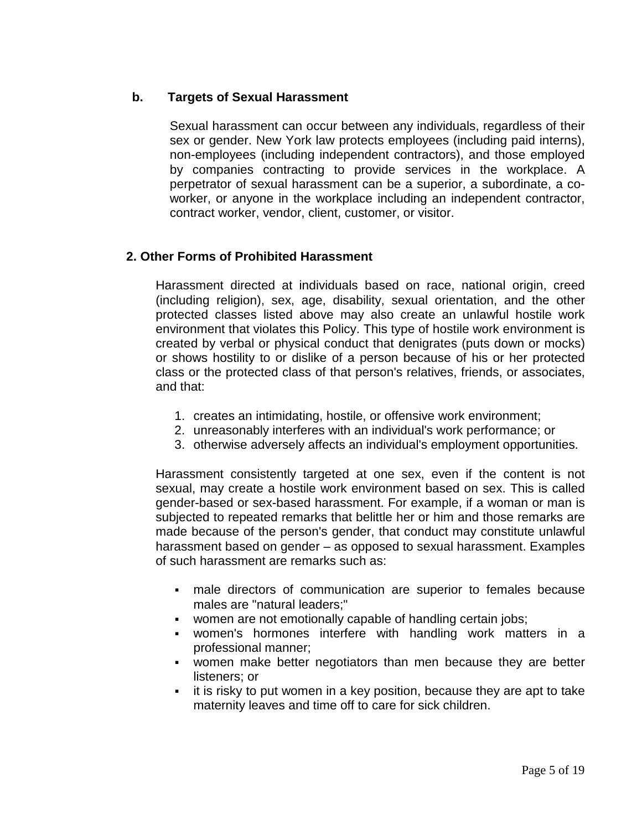## **b. Targets of Sexual Harassment**

Sexual harassment can occur between any individuals, regardless of their sex or gender. New York law protects employees (including paid interns), non-employees (including independent contractors), and those employed by companies contracting to provide services in the workplace. A perpetrator of sexual harassment can be a superior, a subordinate, a coworker, or anyone in the workplace including an independent contractor, contract worker, vendor, client, customer, or visitor.

## **2. Other Forms of Prohibited Harassment**

Harassment directed at individuals based on race, national origin, creed (including religion), sex, age, disability, sexual orientation, and the other protected classes listed above may also create an unlawful hostile work environment that violates this Policy. This type of hostile work environment is created by verbal or physical conduct that denigrates (puts down or mocks) or shows hostility to or dislike of a person because of his or her protected class or the protected class of that person's relatives, friends, or associates, and that:

- 1. creates an intimidating, hostile, or offensive work environment;
- 2. unreasonably interferes with an individual's work performance; or
- 3. otherwise adversely affects an individual's employment opportunities.

Harassment consistently targeted at one sex, even if the content is not sexual, may create a hostile work environment based on sex. This is called gender-based or sex-based harassment. For example, if a woman or man is subjected to repeated remarks that belittle her or him and those remarks are made because of the person's gender, that conduct may constitute unlawful harassment based on gender – as opposed to sexual harassment. Examples of such harassment are remarks such as:

- male directors of communication are superior to females because males are "natural leaders;"
- women are not emotionally capable of handling certain jobs;
- women's hormones interfere with handling work matters in a professional manner;
- women make better negotiators than men because they are better listeners; or
- it is risky to put women in a key position, because they are apt to take maternity leaves and time off to care for sick children.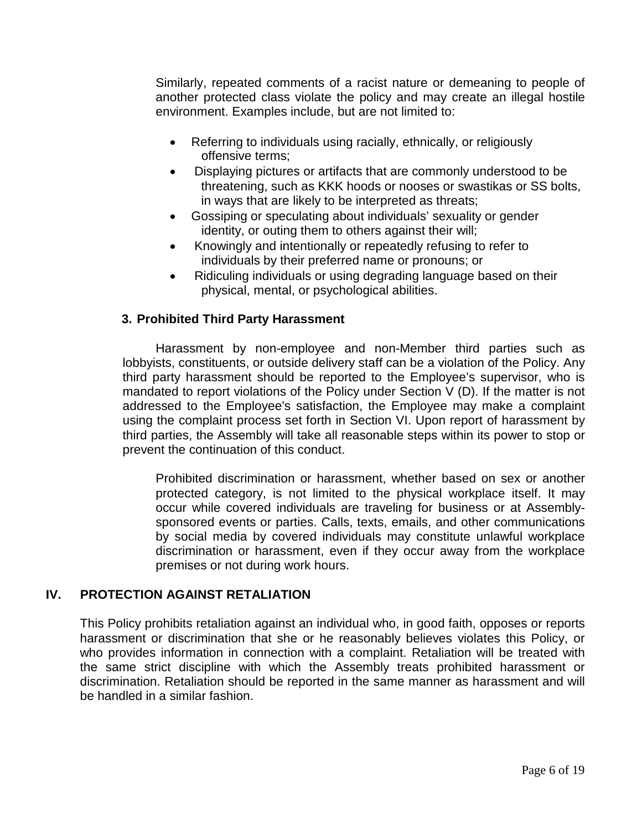Similarly, repeated comments of a racist nature or demeaning to people of another protected class violate the policy and may create an illegal hostile environment. Examples include, but are not limited to:

- Referring to individuals using racially, ethnically, or religiously offensive terms;
- Displaying pictures or artifacts that are commonly understood to be threatening, such as KKK hoods or nooses or swastikas or SS bolts, in ways that are likely to be interpreted as threats;
- Gossiping or speculating about individuals' sexuality or gender identity, or outing them to others against their will;
- Knowingly and intentionally or repeatedly refusing to refer to individuals by their preferred name or pronouns; or
- Ridiculing individuals or using degrading language based on their physical, mental, or psychological abilities.

# **3. Prohibited Third Party Harassment**

Harassment by non-employee and non-Member third parties such as lobbyists, constituents, or outside delivery staff can be a violation of the Policy. Any third party harassment should be reported to the Employee's supervisor, who is mandated to report violations of the Policy under Section V (D). If the matter is not addressed to the Employee's satisfaction, the Employee may make a complaint using the complaint process set forth in Section VI. Upon report of harassment by third parties, the Assembly will take all reasonable steps within its power to stop or prevent the continuation of this conduct.

Prohibited discrimination or harassment, whether based on sex or another protected category, is not limited to the physical workplace itself. It may occur while covered individuals are traveling for business or at Assemblysponsored events or parties. Calls, texts, emails, and other communications by social media by covered individuals may constitute unlawful workplace discrimination or harassment, even if they occur away from the workplace premises or not during work hours.

## **IV. PROTECTION AGAINST RETALIATION**

This Policy prohibits retaliation against an individual who, in good faith, opposes or reports harassment or discrimination that she or he reasonably believes violates this Policy, or who provides information in connection with a complaint. Retaliation will be treated with the same strict discipline with which the Assembly treats prohibited harassment or discrimination. Retaliation should be reported in the same manner as harassment and will be handled in a similar fashion.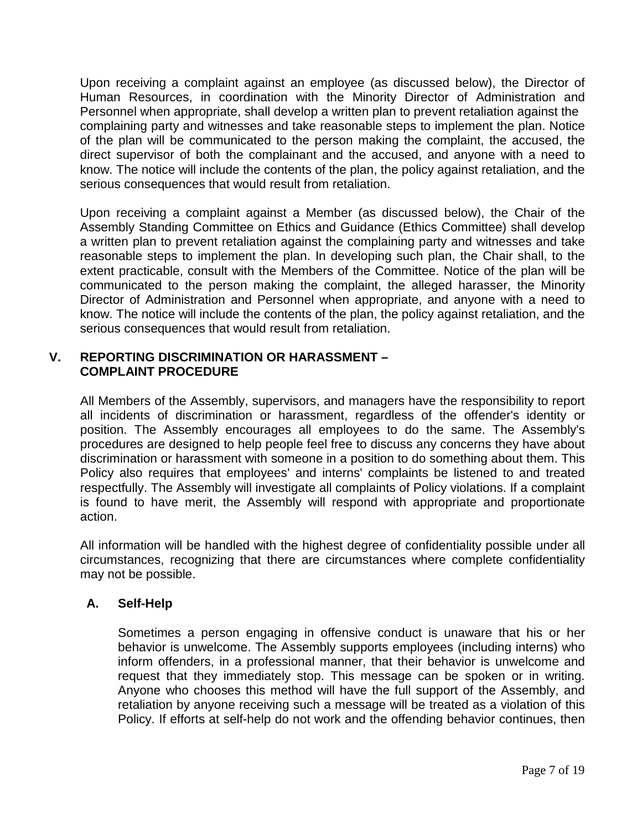Upon receiving a complaint against an employee (as discussed below), the Director of Human Resources, in coordination with the Minority Director of Administration and Personnel when appropriate, shall develop a written plan to prevent retaliation against the complaining party and witnesses and take reasonable steps to implement the plan. Notice of the plan will be communicated to the person making the complaint, the accused, the direct supervisor of both the complainant and the accused, and anyone with a need to know. The notice will include the contents of the plan, the policy against retaliation, and the serious consequences that would result from retaliation.

Upon receiving a complaint against a Member (as discussed below), the Chair of the Assembly Standing Committee on Ethics and Guidance (Ethics Committee) shall develop a written plan to prevent retaliation against the complaining party and witnesses and take reasonable steps to implement the plan. In developing such plan, the Chair shall, to the extent practicable, consult with the Members of the Committee. Notice of the plan will be communicated to the person making the complaint, the alleged harasser, the Minority Director of Administration and Personnel when appropriate, and anyone with a need to know. The notice will include the contents of the plan, the policy against retaliation, and the serious consequences that would result from retaliation.

## **V. REPORTING DISCRIMINATION OR HARASSMENT – COMPLAINT PROCEDURE**

All Members of the Assembly, supervisors, and managers have the responsibility to report all incidents of discrimination or harassment, regardless of the offender's identity or position. The Assembly encourages all employees to do the same. The Assembly's procedures are designed to help people feel free to discuss any concerns they have about discrimination or harassment with someone in a position to do something about them. This Policy also requires that employees' and interns' complaints be listened to and treated respectfully. The Assembly will investigate all complaints of Policy violations. If a complaint is found to have merit, the Assembly will respond with appropriate and proportionate action.

All information will be handled with the highest degree of confidentiality possible under all circumstances, recognizing that there are circumstances where complete confidentiality may not be possible.

# **A. Self-Help**

Sometimes a person engaging in offensive conduct is unaware that his or her behavior is unwelcome. The Assembly supports employees (including interns) who inform offenders, in a professional manner, that their behavior is unwelcome and request that they immediately stop. This message can be spoken or in writing. Anyone who chooses this method will have the full support of the Assembly, and retaliation by anyone receiving such a message will be treated as a violation of this Policy. If efforts at self-help do not work and the offending behavior continues, then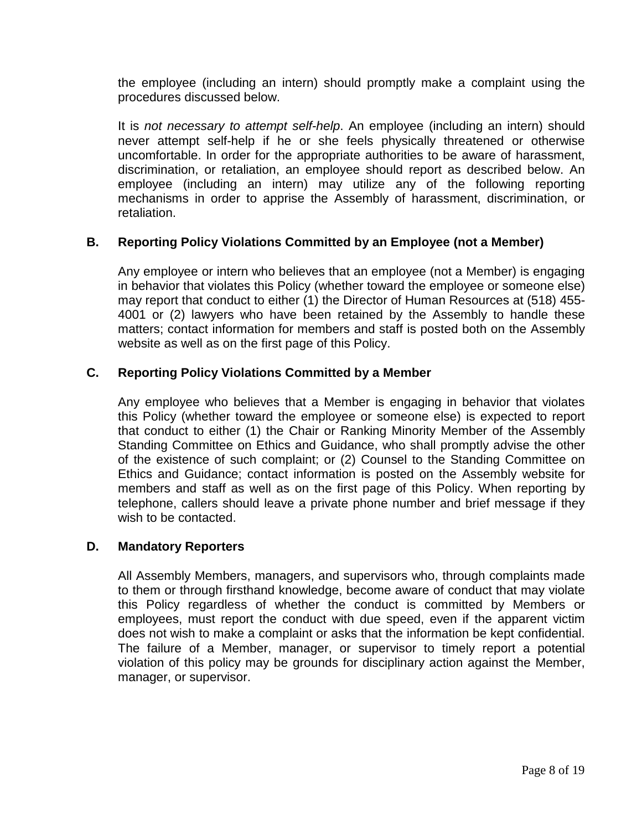the employee (including an intern) should promptly make a complaint using the procedures discussed below.

It is *not necessary to attempt self-help*. An employee (including an intern) should never attempt self-help if he or she feels physically threatened or otherwise uncomfortable. In order for the appropriate authorities to be aware of harassment, discrimination, or retaliation, an employee should report as described below. An employee (including an intern) may utilize any of the following reporting mechanisms in order to apprise the Assembly of harassment, discrimination, or retaliation.

## **B. Reporting Policy Violations Committed by an Employee (not a Member)**

Any employee or intern who believes that an employee (not a Member) is engaging in behavior that violates this Policy (whether toward the employee or someone else) may report that conduct to either (1) the Director of Human Resources at (518) 455- 4001 or (2) lawyers who have been retained by the Assembly to handle these matters; contact information for members and staff is posted both on the Assembly website as well as on the first page of this Policy.

#### **C. Reporting Policy Violations Committed by a Member**

Any employee who believes that a Member is engaging in behavior that violates this Policy (whether toward the employee or someone else) is expected to report that conduct to either (1) the Chair or Ranking Minority Member of the Assembly Standing Committee on Ethics and Guidance, who shall promptly advise the other of the existence of such complaint; or (2) Counsel to the Standing Committee on Ethics and Guidance; contact information is posted on the Assembly website for members and staff as well as on the first page of this Policy. When reporting by telephone, callers should leave a private phone number and brief message if they wish to be contacted.

#### **D. Mandatory Reporters**

All Assembly Members, managers, and supervisors who, through complaints made to them or through firsthand knowledge, become aware of conduct that may violate this Policy regardless of whether the conduct is committed by Members or employees, must report the conduct with due speed, even if the apparent victim does not wish to make a complaint or asks that the information be kept confidential. The failure of a Member, manager, or supervisor to timely report a potential violation of this policy may be grounds for disciplinary action against the Member, manager, or supervisor.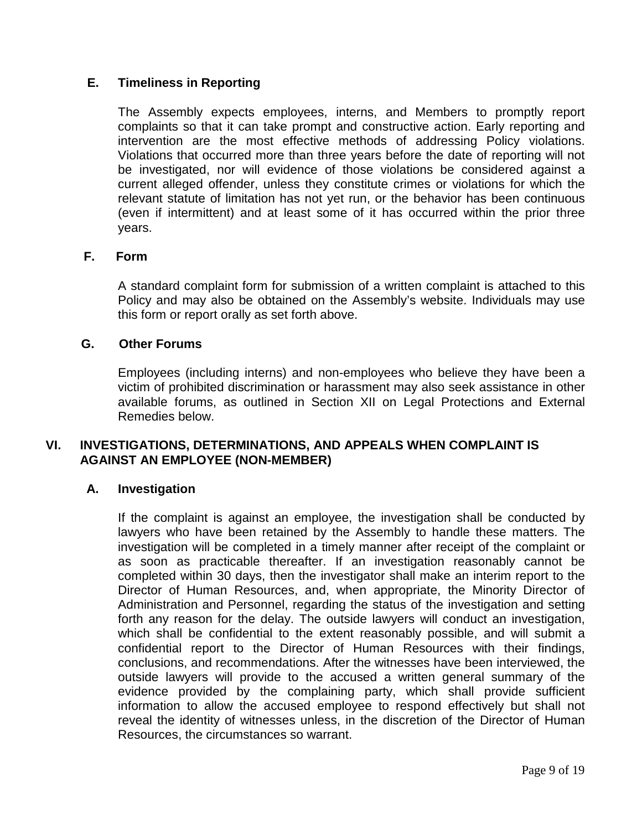## **E. Timeliness in Reporting**

The Assembly expects employees, interns, and Members to promptly report complaints so that it can take prompt and constructive action. Early reporting and intervention are the most effective methods of addressing Policy violations. Violations that occurred more than three years before the date of reporting will not be investigated, nor will evidence of those violations be considered against a current alleged offender, unless they constitute crimes or violations for which the relevant statute of limitation has not yet run, or the behavior has been continuous (even if intermittent) and at least some of it has occurred within the prior three years.

#### **F. Form**

A standard complaint form for submission of a written complaint is attached to this Policy and may also be obtained on the Assembly's website. Individuals may use this form or report orally as set forth above.

#### **G. Other Forums**

Employees (including interns) and non-employees who believe they have been a victim of prohibited discrimination or harassment may also seek assistance in other available forums, as outlined in Section XII on Legal Protections and External Remedies below.

## **VI. INVESTIGATIONS, DETERMINATIONS, AND APPEALS WHEN COMPLAINT IS AGAINST AN EMPLOYEE (NON-MEMBER)**

#### **A. Investigation**

If the complaint is against an employee, the investigation shall be conducted by lawyers who have been retained by the Assembly to handle these matters. The investigation will be completed in a timely manner after receipt of the complaint or as soon as practicable thereafter. If an investigation reasonably cannot be completed within 30 days, then the investigator shall make an interim report to the Director of Human Resources, and, when appropriate, the Minority Director of Administration and Personnel, regarding the status of the investigation and setting forth any reason for the delay. The outside lawyers will conduct an investigation, which shall be confidential to the extent reasonably possible, and will submit a confidential report to the Director of Human Resources with their findings, conclusions, and recommendations. After the witnesses have been interviewed, the outside lawyers will provide to the accused a written general summary of the evidence provided by the complaining party, which shall provide sufficient information to allow the accused employee to respond effectively but shall not reveal the identity of witnesses unless, in the discretion of the Director of Human Resources, the circumstances so warrant.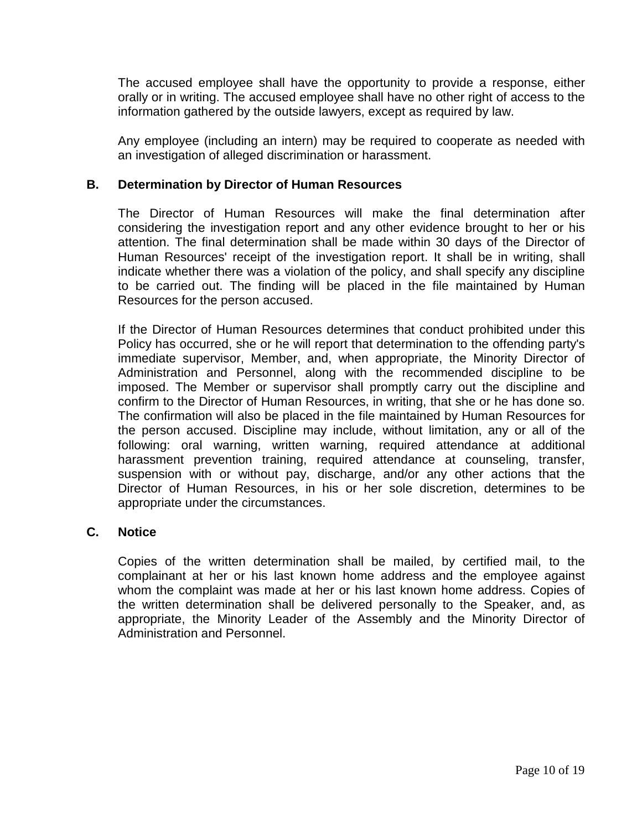The accused employee shall have the opportunity to provide a response, either orally or in writing. The accused employee shall have no other right of access to the information gathered by the outside lawyers, except as required by law.

Any employee (including an intern) may be required to cooperate as needed with an investigation of alleged discrimination or harassment.

#### **B. Determination by Director of Human Resources**

The Director of Human Resources will make the final determination after considering the investigation report and any other evidence brought to her or his attention. The final determination shall be made within 30 days of the Director of Human Resources' receipt of the investigation report. It shall be in writing, shall indicate whether there was a violation of the policy, and shall specify any discipline to be carried out. The finding will be placed in the file maintained by Human Resources for the person accused.

If the Director of Human Resources determines that conduct prohibited under this Policy has occurred, she or he will report that determination to the offending party's immediate supervisor, Member, and, when appropriate, the Minority Director of Administration and Personnel, along with the recommended discipline to be imposed. The Member or supervisor shall promptly carry out the discipline and confirm to the Director of Human Resources, in writing, that she or he has done so. The confirmation will also be placed in the file maintained by Human Resources for the person accused. Discipline may include, without limitation, any or all of the following: oral warning, written warning, required attendance at additional harassment prevention training, required attendance at counseling, transfer, suspension with or without pay, discharge, and/or any other actions that the Director of Human Resources, in his or her sole discretion, determines to be appropriate under the circumstances.

#### **C. Notice**

Copies of the written determination shall be mailed, by certified mail, to the complainant at her or his last known home address and the employee against whom the complaint was made at her or his last known home address. Copies of the written determination shall be delivered personally to the Speaker, and, as appropriate, the Minority Leader of the Assembly and the Minority Director of Administration and Personnel.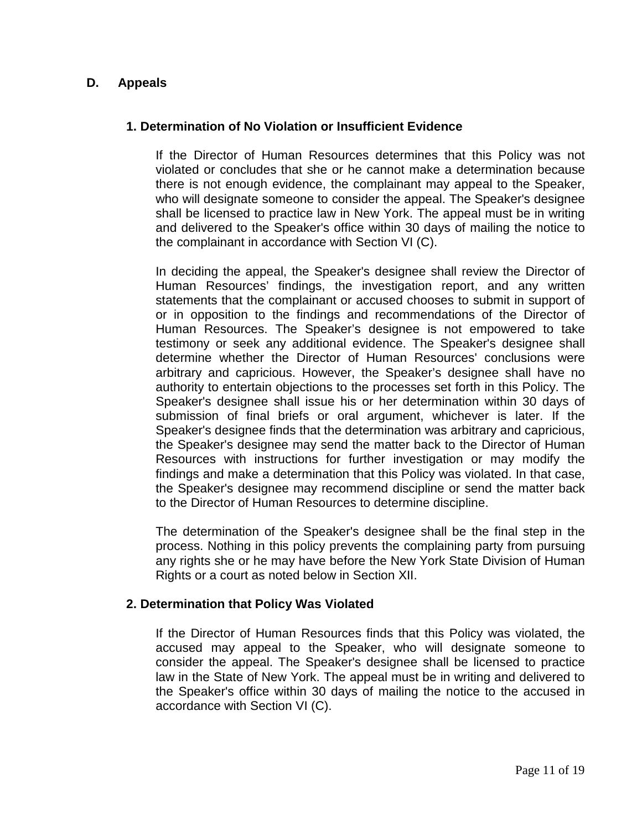## **D. Appeals**

#### **1. Determination of No Violation or Insufficient Evidence**

If the Director of Human Resources determines that this Policy was not violated or concludes that she or he cannot make a determination because there is not enough evidence, the complainant may appeal to the Speaker, who will designate someone to consider the appeal. The Speaker's designee shall be licensed to practice law in New York. The appeal must be in writing and delivered to the Speaker's office within 30 days of mailing the notice to the complainant in accordance with Section VI (C).

In deciding the appeal, the Speaker's designee shall review the Director of Human Resources' findings, the investigation report, and any written statements that the complainant or accused chooses to submit in support of or in opposition to the findings and recommendations of the Director of Human Resources. The Speaker's designee is not empowered to take testimony or seek any additional evidence. The Speaker's designee shall determine whether the Director of Human Resources' conclusions were arbitrary and capricious. However, the Speaker's designee shall have no authority to entertain objections to the processes set forth in this Policy. The Speaker's designee shall issue his or her determination within 30 days of submission of final briefs or oral argument, whichever is later. If the Speaker's designee finds that the determination was arbitrary and capricious, the Speaker's designee may send the matter back to the Director of Human Resources with instructions for further investigation or may modify the findings and make a determination that this Policy was violated. In that case, the Speaker's designee may recommend discipline or send the matter back to the Director of Human Resources to determine discipline.

The determination of the Speaker's designee shall be the final step in the process. Nothing in this policy prevents the complaining party from pursuing any rights she or he may have before the New York State Division of Human Rights or a court as noted below in Section XII.

#### **2. Determination that Policy Was Violated**

If the Director of Human Resources finds that this Policy was violated, the accused may appeal to the Speaker, who will designate someone to consider the appeal. The Speaker's designee shall be licensed to practice law in the State of New York. The appeal must be in writing and delivered to the Speaker's office within 30 days of mailing the notice to the accused in accordance with Section VI (C).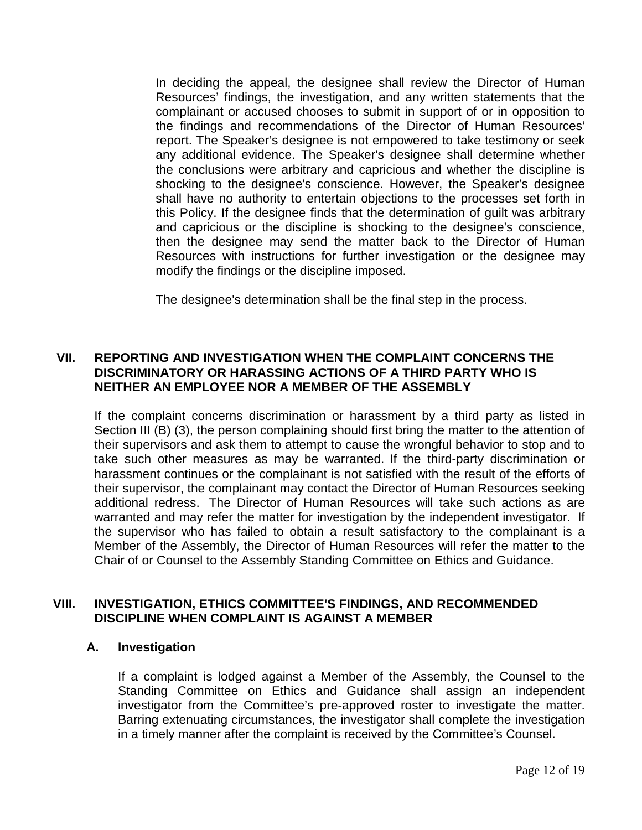In deciding the appeal, the designee shall review the Director of Human Resources' findings, the investigation, and any written statements that the complainant or accused chooses to submit in support of or in opposition to the findings and recommendations of the Director of Human Resources' report. The Speaker's designee is not empowered to take testimony or seek any additional evidence. The Speaker's designee shall determine whether the conclusions were arbitrary and capricious and whether the discipline is shocking to the designee's conscience. However, the Speaker's designee shall have no authority to entertain objections to the processes set forth in this Policy. If the designee finds that the determination of guilt was arbitrary and capricious or the discipline is shocking to the designee's conscience, then the designee may send the matter back to the Director of Human Resources with instructions for further investigation or the designee may modify the findings or the discipline imposed.

The designee's determination shall be the final step in the process.

## **VII. REPORTING AND INVESTIGATION WHEN THE COMPLAINT CONCERNS THE DISCRIMINATORY OR HARASSING ACTIONS OF A THIRD PARTY WHO IS NEITHER AN EMPLOYEE NOR A MEMBER OF THE ASSEMBLY**

If the complaint concerns discrimination or harassment by a third party as listed in Section III (B) (3), the person complaining should first bring the matter to the attention of their supervisors and ask them to attempt to cause the wrongful behavior to stop and to take such other measures as may be warranted. If the third-party discrimination or harassment continues or the complainant is not satisfied with the result of the efforts of their supervisor, the complainant may contact the Director of Human Resources seeking additional redress. The Director of Human Resources will take such actions as are warranted and may refer the matter for investigation by the independent investigator. If the supervisor who has failed to obtain a result satisfactory to the complainant is a Member of the Assembly, the Director of Human Resources will refer the matter to the Chair of or Counsel to the Assembly Standing Committee on Ethics and Guidance.

## **VIII. INVESTIGATION, ETHICS COMMITTEE'S FINDINGS, AND RECOMMENDED DISCIPLINE WHEN COMPLAINT IS AGAINST A MEMBER**

#### **A. Investigation**

If a complaint is lodged against a Member of the Assembly, the Counsel to the Standing Committee on Ethics and Guidance shall assign an independent investigator from the Committee's pre-approved roster to investigate the matter. Barring extenuating circumstances, the investigator shall complete the investigation in a timely manner after the complaint is received by the Committee's Counsel.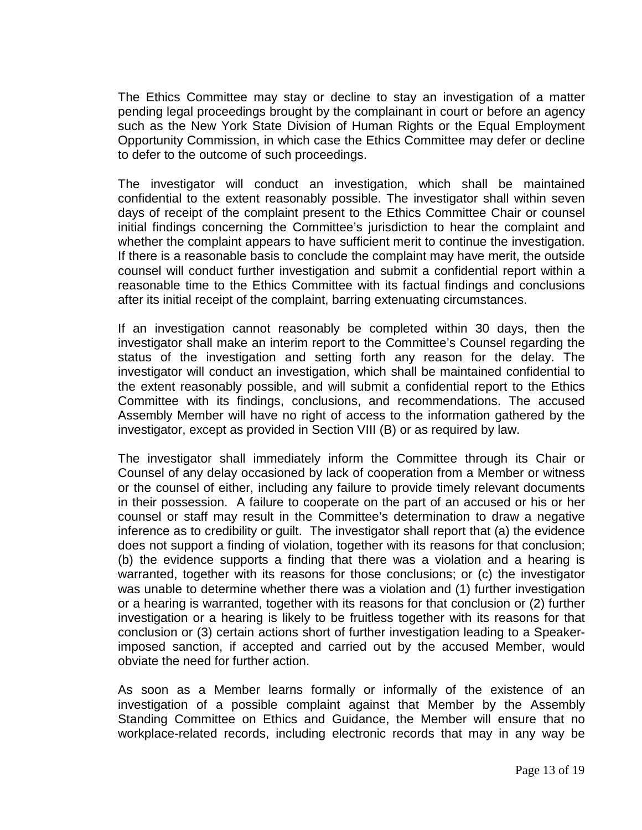The Ethics Committee may stay or decline to stay an investigation of a matter pending legal proceedings brought by the complainant in court or before an agency such as the New York State Division of Human Rights or the Equal Employment Opportunity Commission, in which case the Ethics Committee may defer or decline to defer to the outcome of such proceedings.

The investigator will conduct an investigation, which shall be maintained confidential to the extent reasonably possible. The investigator shall within seven days of receipt of the complaint present to the Ethics Committee Chair or counsel initial findings concerning the Committee's jurisdiction to hear the complaint and whether the complaint appears to have sufficient merit to continue the investigation. If there is a reasonable basis to conclude the complaint may have merit, the outside counsel will conduct further investigation and submit a confidential report within a reasonable time to the Ethics Committee with its factual findings and conclusions after its initial receipt of the complaint, barring extenuating circumstances.

If an investigation cannot reasonably be completed within 30 days, then the investigator shall make an interim report to the Committee's Counsel regarding the status of the investigation and setting forth any reason for the delay. The investigator will conduct an investigation, which shall be maintained confidential to the extent reasonably possible, and will submit a confidential report to the Ethics Committee with its findings, conclusions, and recommendations. The accused Assembly Member will have no right of access to the information gathered by the investigator, except as provided in Section VIII (B) or as required by law.

The investigator shall immediately inform the Committee through its Chair or Counsel of any delay occasioned by lack of cooperation from a Member or witness or the counsel of either, including any failure to provide timely relevant documents in their possession. A failure to cooperate on the part of an accused or his or her counsel or staff may result in the Committee's determination to draw a negative inference as to credibility or guilt. The investigator shall report that (a) the evidence does not support a finding of violation, together with its reasons for that conclusion; (b) the evidence supports a finding that there was a violation and a hearing is warranted, together with its reasons for those conclusions; or (c) the investigator was unable to determine whether there was a violation and (1) further investigation or a hearing is warranted, together with its reasons for that conclusion or (2) further investigation or a hearing is likely to be fruitless together with its reasons for that conclusion or (3) certain actions short of further investigation leading to a Speakerimposed sanction, if accepted and carried out by the accused Member, would obviate the need for further action.

As soon as a Member learns formally or informally of the existence of an investigation of a possible complaint against that Member by the Assembly Standing Committee on Ethics and Guidance, the Member will ensure that no workplace-related records, including electronic records that may in any way be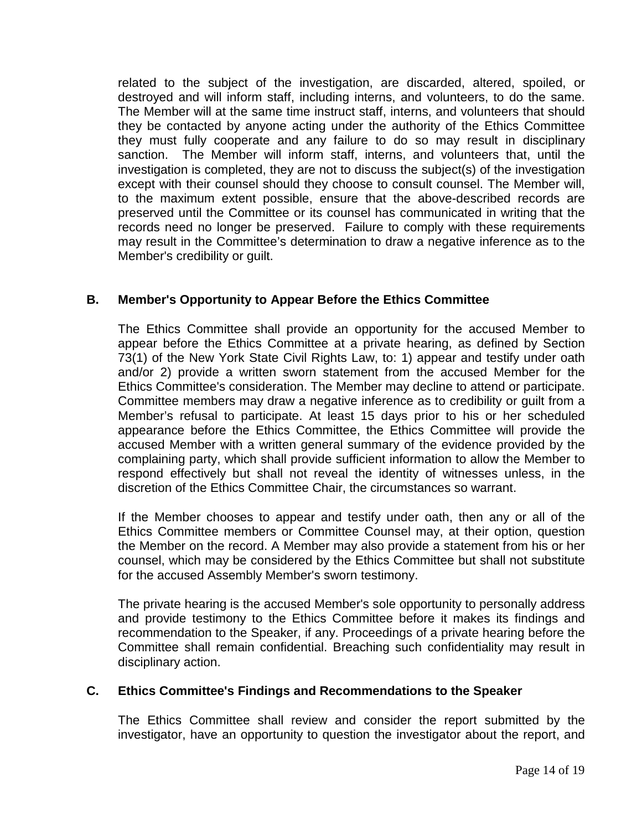related to the subject of the investigation, are discarded, altered, spoiled, or destroyed and will inform staff, including interns, and volunteers, to do the same. The Member will at the same time instruct staff, interns, and volunteers that should they be contacted by anyone acting under the authority of the Ethics Committee they must fully cooperate and any failure to do so may result in disciplinary sanction. The Member will inform staff, interns, and volunteers that, until the investigation is completed, they are not to discuss the subject(s) of the investigation except with their counsel should they choose to consult counsel. The Member will, to the maximum extent possible, ensure that the above-described records are preserved until the Committee or its counsel has communicated in writing that the records need no longer be preserved. Failure to comply with these requirements may result in the Committee's determination to draw a negative inference as to the Member's credibility or guilt.

## **B. Member's Opportunity to Appear Before the Ethics Committee**

The Ethics Committee shall provide an opportunity for the accused Member to appear before the Ethics Committee at a private hearing, as defined by Section 73(1) of the New York State Civil Rights Law, to: 1) appear and testify under oath and/or 2) provide a written sworn statement from the accused Member for the Ethics Committee's consideration. The Member may decline to attend or participate. Committee members may draw a negative inference as to credibility or guilt from a Member's refusal to participate. At least 15 days prior to his or her scheduled appearance before the Ethics Committee, the Ethics Committee will provide the accused Member with a written general summary of the evidence provided by the complaining party, which shall provide sufficient information to allow the Member to respond effectively but shall not reveal the identity of witnesses unless, in the discretion of the Ethics Committee Chair, the circumstances so warrant.

If the Member chooses to appear and testify under oath, then any or all of the Ethics Committee members or Committee Counsel may, at their option, question the Member on the record. A Member may also provide a statement from his or her counsel, which may be considered by the Ethics Committee but shall not substitute for the accused Assembly Member's sworn testimony.

The private hearing is the accused Member's sole opportunity to personally address and provide testimony to the Ethics Committee before it makes its findings and recommendation to the Speaker, if any. Proceedings of a private hearing before the Committee shall remain confidential. Breaching such confidentiality may result in disciplinary action.

## **C. Ethics Committee's Findings and Recommendations to the Speaker**

The Ethics Committee shall review and consider the report submitted by the investigator, have an opportunity to question the investigator about the report, and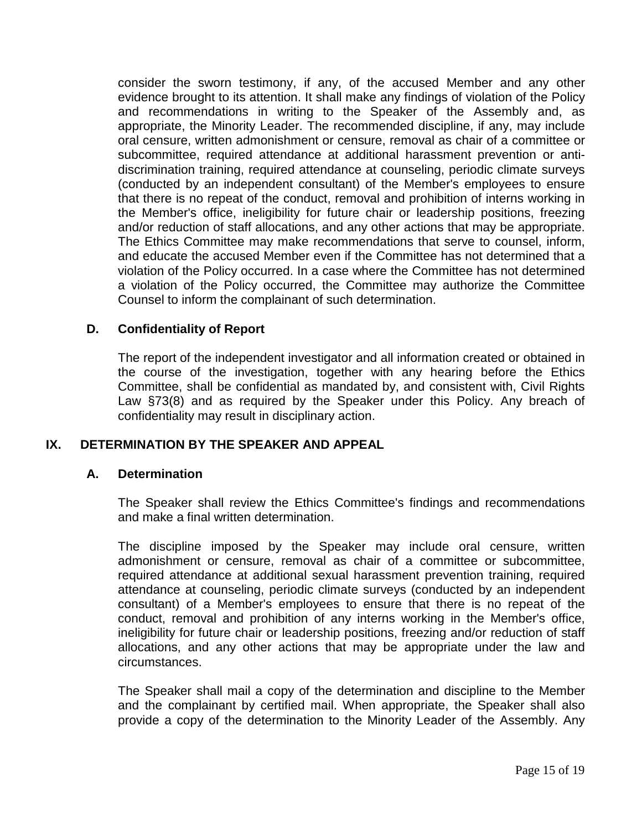consider the sworn testimony, if any, of the accused Member and any other evidence brought to its attention. It shall make any findings of violation of the Policy and recommendations in writing to the Speaker of the Assembly and, as appropriate, the Minority Leader. The recommended discipline, if any, may include oral censure, written admonishment or censure, removal as chair of a committee or subcommittee, required attendance at additional harassment prevention or antidiscrimination training, required attendance at counseling, periodic climate surveys (conducted by an independent consultant) of the Member's employees to ensure that there is no repeat of the conduct, removal and prohibition of interns working in the Member's office, ineligibility for future chair or leadership positions, freezing and/or reduction of staff allocations, and any other actions that may be appropriate. The Ethics Committee may make recommendations that serve to counsel, inform, and educate the accused Member even if the Committee has not determined that a violation of the Policy occurred. In a case where the Committee has not determined a violation of the Policy occurred, the Committee may authorize the Committee Counsel to inform the complainant of such determination.

#### **D. Confidentiality of Report**

The report of the independent investigator and all information created or obtained in the course of the investigation, together with any hearing before the Ethics Committee, shall be confidential as mandated by, and consistent with, Civil Rights Law §73(8) and as required by the Speaker under this Policy. Any breach of confidentiality may result in disciplinary action.

#### **IX. DETERMINATION BY THE SPEAKER AND APPEAL**

#### **A. Determination**

The Speaker shall review the Ethics Committee's findings and recommendations and make a final written determination.

The discipline imposed by the Speaker may include oral censure, written admonishment or censure, removal as chair of a committee or subcommittee. required attendance at additional sexual harassment prevention training, required attendance at counseling, periodic climate surveys (conducted by an independent consultant) of a Member's employees to ensure that there is no repeat of the conduct, removal and prohibition of any interns working in the Member's office, ineligibility for future chair or leadership positions, freezing and/or reduction of staff allocations, and any other actions that may be appropriate under the law and circumstances.

The Speaker shall mail a copy of the determination and discipline to the Member and the complainant by certified mail. When appropriate, the Speaker shall also provide a copy of the determination to the Minority Leader of the Assembly. Any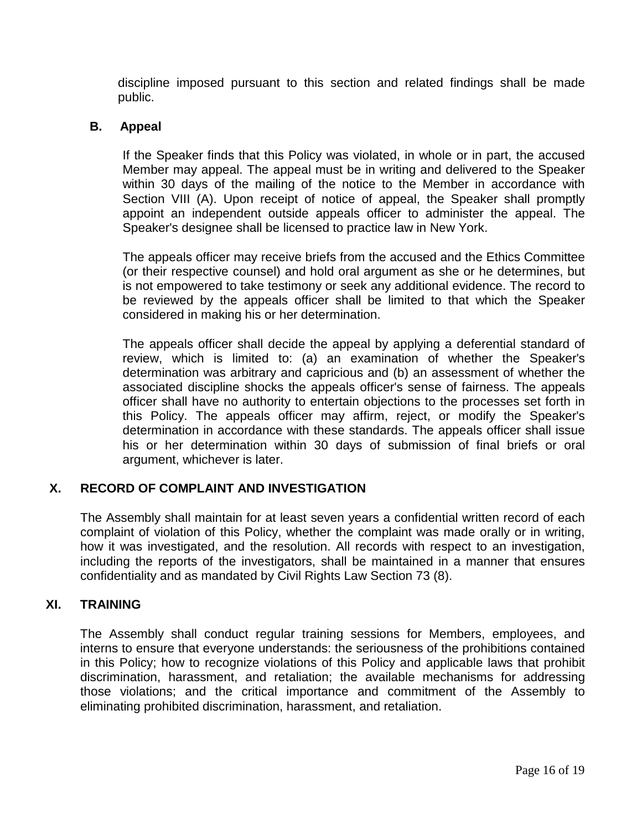discipline imposed pursuant to this section and related findings shall be made public.

#### **B. Appeal**

If the Speaker finds that this Policy was violated, in whole or in part, the accused Member may appeal. The appeal must be in writing and delivered to the Speaker within 30 days of the mailing of the notice to the Member in accordance with Section VIII (A). Upon receipt of notice of appeal, the Speaker shall promptly appoint an independent outside appeals officer to administer the appeal. The Speaker's designee shall be licensed to practice law in New York.

The appeals officer may receive briefs from the accused and the Ethics Committee (or their respective counsel) and hold oral argument as she or he determines, but is not empowered to take testimony or seek any additional evidence. The record to be reviewed by the appeals officer shall be limited to that which the Speaker considered in making his or her determination.

The appeals officer shall decide the appeal by applying a deferential standard of review, which is limited to: (a) an examination of whether the Speaker's determination was arbitrary and capricious and (b) an assessment of whether the associated discipline shocks the appeals officer's sense of fairness. The appeals officer shall have no authority to entertain objections to the processes set forth in this Policy. The appeals officer may affirm, reject, or modify the Speaker's determination in accordance with these standards. The appeals officer shall issue his or her determination within 30 days of submission of final briefs or oral argument, whichever is later.

## **X. RECORD OF COMPLAINT AND INVESTIGATION**

The Assembly shall maintain for at least seven years a confidential written record of each complaint of violation of this Policy, whether the complaint was made orally or in writing, how it was investigated, and the resolution. All records with respect to an investigation, including the reports of the investigators, shall be maintained in a manner that ensures confidentiality and as mandated by Civil Rights Law Section 73 (8).

## **XI. TRAINING**

The Assembly shall conduct regular training sessions for Members, employees, and interns to ensure that everyone understands: the seriousness of the prohibitions contained in this Policy; how to recognize violations of this Policy and applicable laws that prohibit discrimination, harassment, and retaliation; the available mechanisms for addressing those violations; and the critical importance and commitment of the Assembly to eliminating prohibited discrimination, harassment, and retaliation.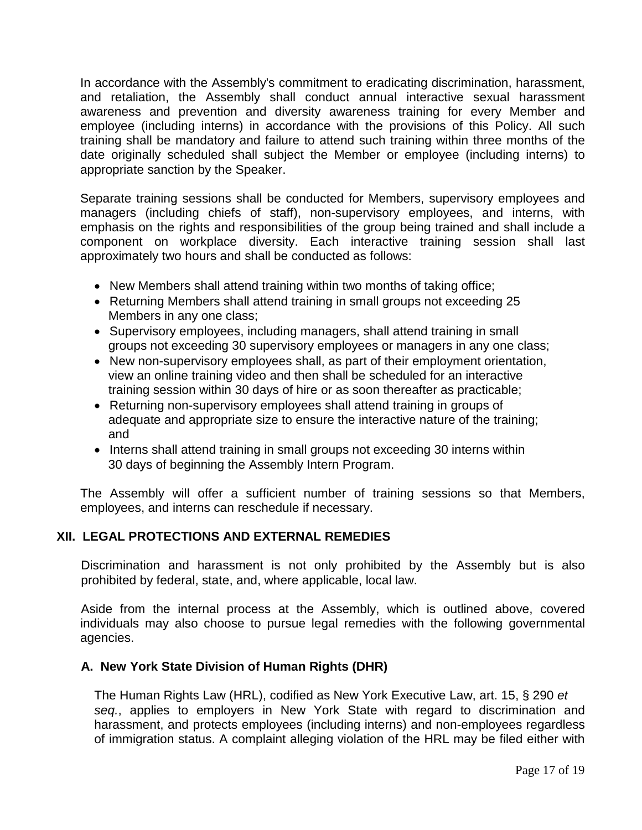In accordance with the Assembly's commitment to eradicating discrimination, harassment, and retaliation, the Assembly shall conduct annual interactive sexual harassment awareness and prevention and diversity awareness training for every Member and employee (including interns) in accordance with the provisions of this Policy. All such training shall be mandatory and failure to attend such training within three months of the date originally scheduled shall subject the Member or employee (including interns) to appropriate sanction by the Speaker.

Separate training sessions shall be conducted for Members, supervisory employees and managers (including chiefs of staff), non-supervisory employees, and interns, with emphasis on the rights and responsibilities of the group being trained and shall include a component on workplace diversity. Each interactive training session shall last approximately two hours and shall be conducted as follows:

- New Members shall attend training within two months of taking office;
- Returning Members shall attend training in small groups not exceeding 25 Members in any one class;
- Supervisory employees, including managers, shall attend training in small groups not exceeding 30 supervisory employees or managers in any one class;
- New non-supervisory employees shall, as part of their employment orientation, view an online training video and then shall be scheduled for an interactive training session within 30 days of hire or as soon thereafter as practicable;
- Returning non-supervisory employees shall attend training in groups of adequate and appropriate size to ensure the interactive nature of the training; and
- Interns shall attend training in small groups not exceeding 30 interns within 30 days of beginning the Assembly Intern Program.

The Assembly will offer a sufficient number of training sessions so that Members, employees, and interns can reschedule if necessary.

## **XII. LEGAL PROTECTIONS AND EXTERNAL REMEDIES**

Discrimination and harassment is not only prohibited by the Assembly but is also prohibited by federal, state, and, where applicable, local law.

Aside from the internal process at the Assembly, which is outlined above, covered individuals may also choose to pursue legal remedies with the following governmental agencies.

## **A. New York State Division of Human Rights (DHR)**

The Human Rights Law (HRL), codified as New York Executive Law, art. 15, § 290 *et seq.*, applies to employers in New York State with regard to discrimination and harassment, and protects employees (including interns) and non-employees regardless of immigration status. A complaint alleging violation of the HRL may be filed either with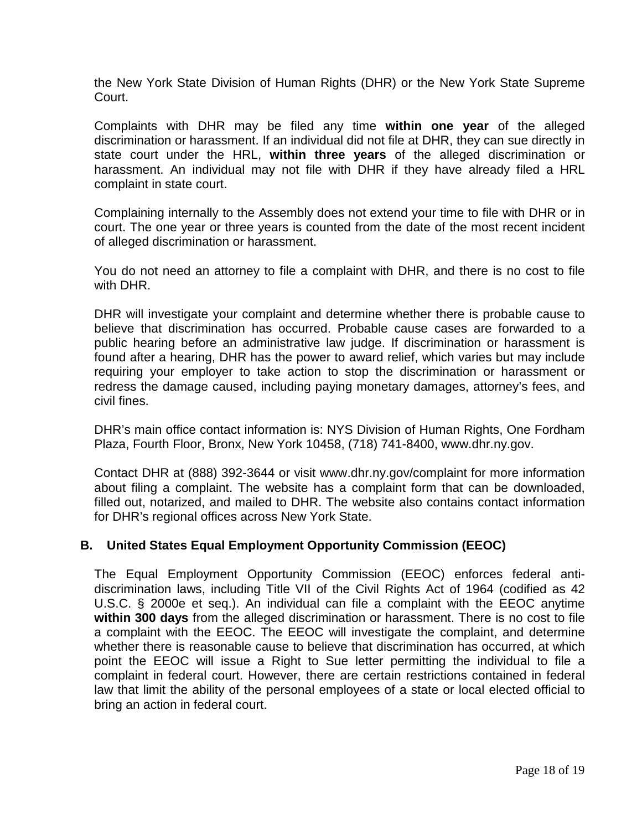the New York State Division of Human Rights (DHR) or the New York State Supreme Court.

Complaints with DHR may be filed any time **within one year** of the alleged discrimination or harassment. If an individual did not file at DHR, they can sue directly in state court under the HRL, **within three years** of the alleged discrimination or harassment. An individual may not file with DHR if they have already filed a HRL complaint in state court.

Complaining internally to the Assembly does not extend your time to file with DHR or in court. The one year or three years is counted from the date of the most recent incident of alleged discrimination or harassment.

You do not need an attorney to file a complaint with DHR, and there is no cost to file with DHR.

DHR will investigate your complaint and determine whether there is probable cause to believe that discrimination has occurred. Probable cause cases are forwarded to a public hearing before an administrative law judge. If discrimination or harassment is found after a hearing, DHR has the power to award relief, which varies but may include requiring your employer to take action to stop the discrimination or harassment or redress the damage caused, including paying monetary damages, attorney's fees, and civil fines.

DHR's main office contact information is: NYS Division of Human Rights, One Fordham Plaza, Fourth Floor, Bronx, New York 10458, (718) 741-8400, www.dhr.ny.gov.

Contact DHR at (888) 392-3644 or visit www.dhr.ny.gov/complaint for more information about filing a complaint. The website has a complaint form that can be downloaded, filled out, notarized, and mailed to DHR. The website also contains contact information for DHR's regional offices across New York State.

## **B. United States Equal Employment Opportunity Commission (EEOC)**

The Equal Employment Opportunity Commission (EEOC) enforces federal antidiscrimination laws, including Title VII of the Civil Rights Act of 1964 (codified as 42 U.S.C. § 2000e et seq.). An individual can file a complaint with the EEOC anytime **within 300 days** from the alleged discrimination or harassment. There is no cost to file a complaint with the EEOC. The EEOC will investigate the complaint, and determine whether there is reasonable cause to believe that discrimination has occurred, at which point the EEOC will issue a Right to Sue letter permitting the individual to file a complaint in federal court. However, there are certain restrictions contained in federal law that limit the ability of the personal employees of a state or local elected official to bring an action in federal court.